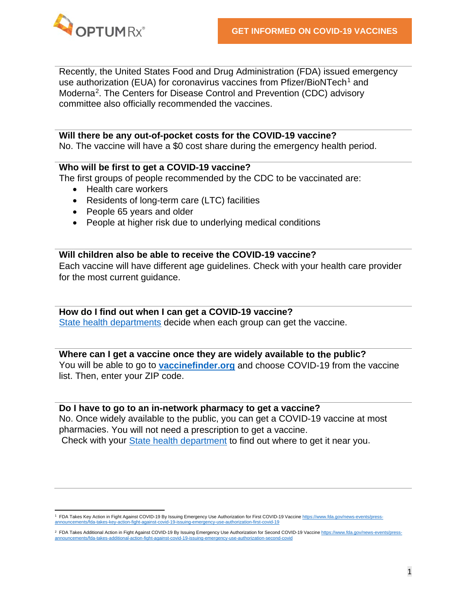

Recently, the United States Food and Drug Administration (FDA) issued emergency use authorization (EUA) for coronavirus vaccines from Pfizer/BioNTech<sup>[1](#page-0-0)</sup> and Moderna[2.](#page-0-1) The Centers for Disease Control and Prevention (CDC) advisory committee also officially recommended the vaccines.

#### **Will there be any out-of-pocket costs for the COVID-19 vaccine?**

No. The vaccine will have a \$0 cost share during the emergency health period.

## **Who will be first to get a COVID-19 vaccine?**

The first groups of people recommended by the CDC to be vaccinated are:

- Health care workers
- Residents of long-term care (LTC) facilities
- People 65 years and older
- People at higher risk due to underlying medical conditions

# **Will children also be able to receive the COVID-19 vaccine?**

Each vaccine will have different age guidelines. Check with your health care provider for the most current guidance.

# **How do I find out when I can get a COVID-19 vaccine?**

[State health departments](https://www.cdc.gov/publichealthgateway/healthdirectories/healthdepartments.html) decide when each group can get the vaccine.

## **Where can I get a vaccine once they are widely available to the public?**

You will be able to go to **vaccinefinder.org** [and choose COVID-19 from the vaccine](https://vaccinefinder.org/find-vaccine)  [list. Then, enter your ZIP code.](https://vaccinefinder.org/find-vaccine)

## **Do I have to go to an in-network pharmacy to get a vaccine?**

No. Once widely available to the public, you can get a COVID-19 vaccine at most pharmacies. You will not need a prescription to get a vaccine. Check with your [State health department](https://www.cdc.gov/publichealthgateway/healthdirectories/healthdepartments.html) to find out where to get it near you.

<span id="page-0-0"></span><sup>&</sup>lt;sup>1</sup> FDA Takes Key Action in Fight Against COVID-19 By Issuing Emergency Use Authorization for First COVID-19 Vaccin[e https://www.fda.gov/news-events/press](https://www.fda.gov/news-events/press-announcements/fda-takes-key-action-fight-against-covid-19-issuing-emergency-use-authorization-first-covid-19)[announcements/fda-takes-key-action-fight-against-covid-19-issuing-emergency-use-authorization-first-covid-19](https://www.fda.gov/news-events/press-announcements/fda-takes-key-action-fight-against-covid-19-issuing-emergency-use-authorization-first-covid-19)

<span id="page-0-1"></span><sup>&</sup>lt;sup>2</sup> FDA Takes Additional Action in Fight Against COVID-19 By Issuing Emergency Use Authorization for Second COVID-19 Vaccin[e https://www.fda.gov/news-events/press](https://www.fda.gov/news-events/press-announcements/fda-takes-additional-action-fight-against-covid-19-issuing-emergency-use-authorization-second-covid)[announcements/fda-takes-additional-action-fight-against-covid-19-issuing-emergency-use-authorization-second-covid](https://www.fda.gov/news-events/press-announcements/fda-takes-additional-action-fight-against-covid-19-issuing-emergency-use-authorization-second-covid)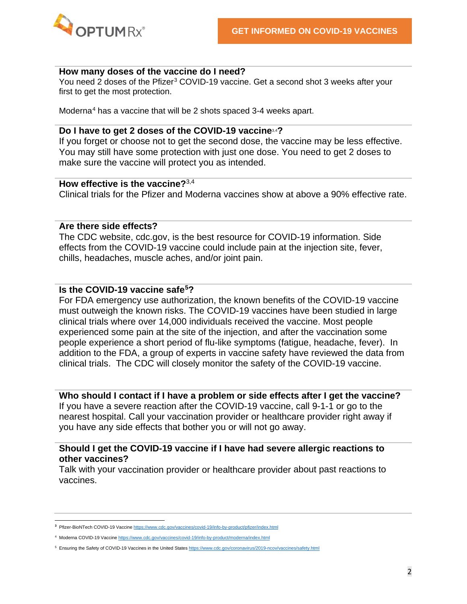

#### **How many doses of the vaccine do I need?**

<span id="page-1-0"></span>You need 2 doses of the Pfizer<sup>[3](#page-1-2)</sup> COVID-19 vaccine. Get a second shot 3 weeks after your first to get the most protection.

<span id="page-1-1"></span>Moderna[4](#page-1-3) has a vaccine that will be 2 shots spaced 3-4 weeks apart.

## **Do I have to get 2 doses of the COVID-19 vaccine**[3,4](#page-1-0) **[?](#page-1-1)**

If you forget or choose not to get the second dose, the vaccine may be less effective. You may still have some protection with just one dose. You need to get 2 doses to make sure the vaccine will protect you as intended.

## **How effective is the vaccine?**[3,](#page-1-0)[4](#page-1-1)

Clinical trials for the Pfizer and Moderna vaccines show at above a 90% effective rate.

## **Are there side effects?**

The CDC website, cdc.gov, is the best resource for COVID-19 information. Side effects from the COVID-19 vaccine could include pain at the injection site, fever, chills, headaches, muscle aches, and/or joint pain.

# **Is the COVID-19 vaccine safe[5](#page-1-4)?**

For FDA emergency use authorization, the known benefits of the COVID-19 vaccine must outweigh the known risks. The COVID-19 vaccines have been studied in large clinical trials where over 14,000 individuals received the vaccine. Most people experienced some pain at the site of the injection, and after the vaccination some people experience a short period of flu-like symptoms (fatigue, headache, fever). In addition to the FDA, a group of experts in vaccine safety have reviewed the data from clinical trials. The CDC will closely monitor the safety of the COVID-19 vaccine.

**Who should I contact if I have a problem or side effects after I get the vaccine?** 

If you have a severe reaction after the COVID-19 vaccine, call 9-1-1 or go to the nearest hospital. Call your vaccination provider or healthcare provider right away if you have any side effects that bother you or will not go away.

## **Should I get the COVID-19 vaccine if I have had severe allergic reactions to other vaccines?**

Talk with your vaccination provider or healthcare provider about past reactions to vaccines.

<span id="page-1-2"></span>**<sup>3</sup>** Pfizer-BioNTech COVID-19 Vaccin[e https://www.cdc.gov/vaccines/covid-19/info-by-product/pfizer/index.html](https://www.cdc.gov/vaccines/covid-19/info-by-product/pfizer/index.html)

<span id="page-1-3"></span><sup>4</sup> Moderna COVID-19 Vaccin[e https://www.cdc.gov/vaccines/covid-19/info-by-product/moderna/index.html](https://www.cdc.gov/vaccines/covid-19/info-by-product/moderna/index.html)

<span id="page-1-4"></span><sup>5</sup> Ensuring the Safety of COVID-19 Vaccines in the United State[s https://www.cdc.gov/coronavirus/2019-ncov/vaccines/safety.html](https://www.cdc.gov/coronavirus/2019-ncov/vaccines/safety.html)